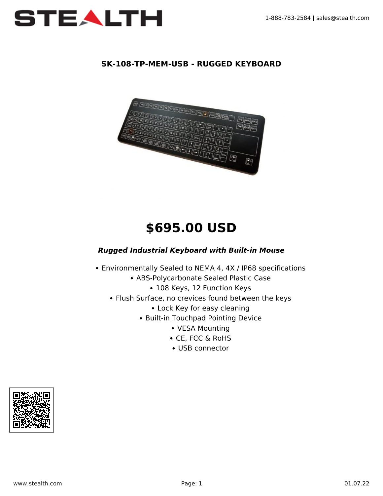

## **SK-108-TP-MEM-USB - RUGGED KEYBOARD**



# **\$695.00 USD**

#### *Rugged Industrial Keyboard with Built-in Mouse*

- Environmentally Sealed to NEMA 4, 4X / IP68 specifications
	- ABS-Polycarbonate Sealed Plastic Case
		- 108 Keys, 12 Function Keys
	- Flush Surface, no crevices found between the keys
		- Lock Key for easy cleaning
		- Built-in Touchpad Pointing Device
			- VESA Mounting
			- CE, FCC & RoHS
			- USB connector

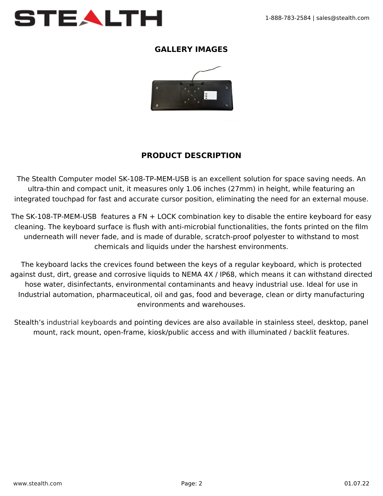

#### **GALLERY IMAGES**



## **PRODUCT DESCRIPTION**

The Stealth Computer model SK-108-TP-MEM-USB is an excellent solution for space saving needs. An ultra-thin and compact unit, it measures only 1.06 inches (27mm) in height, while featuring an integrated touchpad for fast and accurate cursor position, eliminating the need for an external mouse.

The SK-108-TP-MEM-USB features a FN + LOCK combination key to disable the entire keyboard for easy cleaning. The keyboard surface is flush with anti-microbial functionalities, the fonts printed on the film underneath will never fade, and is made of durable, scratch-proof polyester to withstand to most chemicals and liquids under the harshest environments.

The keyboard lacks the crevices found between the keys of a regular keyboard, which is protected against dust, dirt, grease and corrosive liquids to NEMA 4X / IP68, which means it can withstand directed hose water, disinfectants, environmental contaminants and heavy industrial use. Ideal for use in Industrial automation, pharmaceutical, oil and gas, food and beverage, clean or dirty manufacturing environments and warehouses.

Stealth's [industrial keyboards](https://www.stealth.com/ruggedkeyboards/) and pointing devices are also available in stainless steel, desktop, panel mount, rack mount, open-frame, kiosk/public access and with illuminated / backlit features.